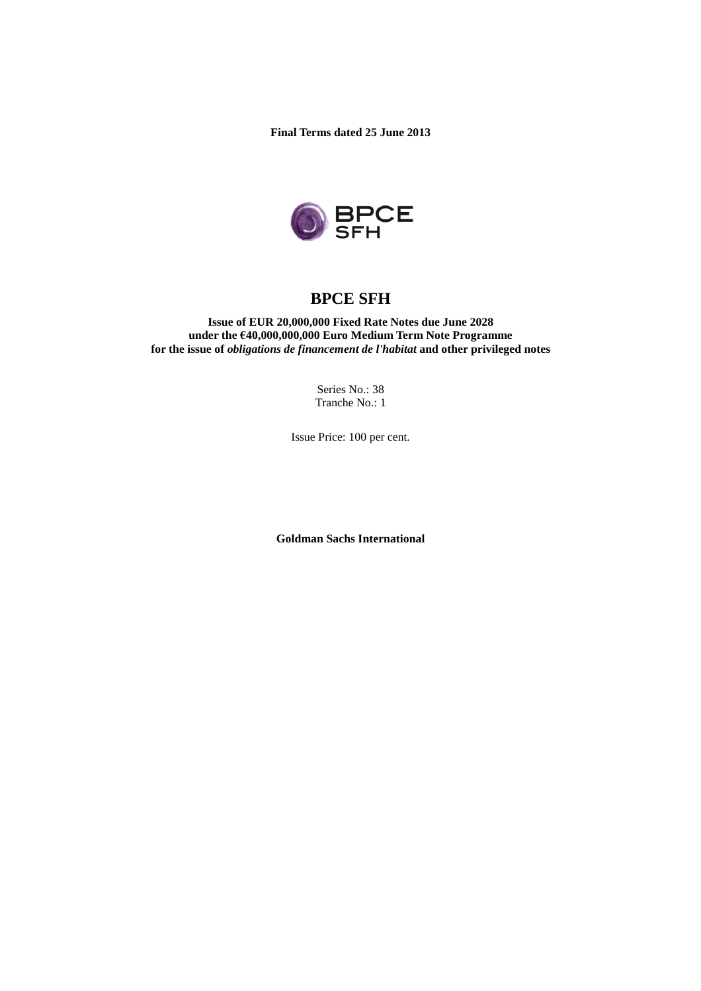**Final Terms dated 25 June 2013**



# **BPCE SFH**

**Issue of EUR 20,000,000 Fixed Rate Notes due June 2028 under the €40,000,000,000 Euro Medium Term Note Programme for the issue of** *obligations de financement de l'habitat* **and other privileged notes**

> Series No.: 38 Tranche No.: 1

Issue Price: 100 per cent.

**Goldman Sachs International**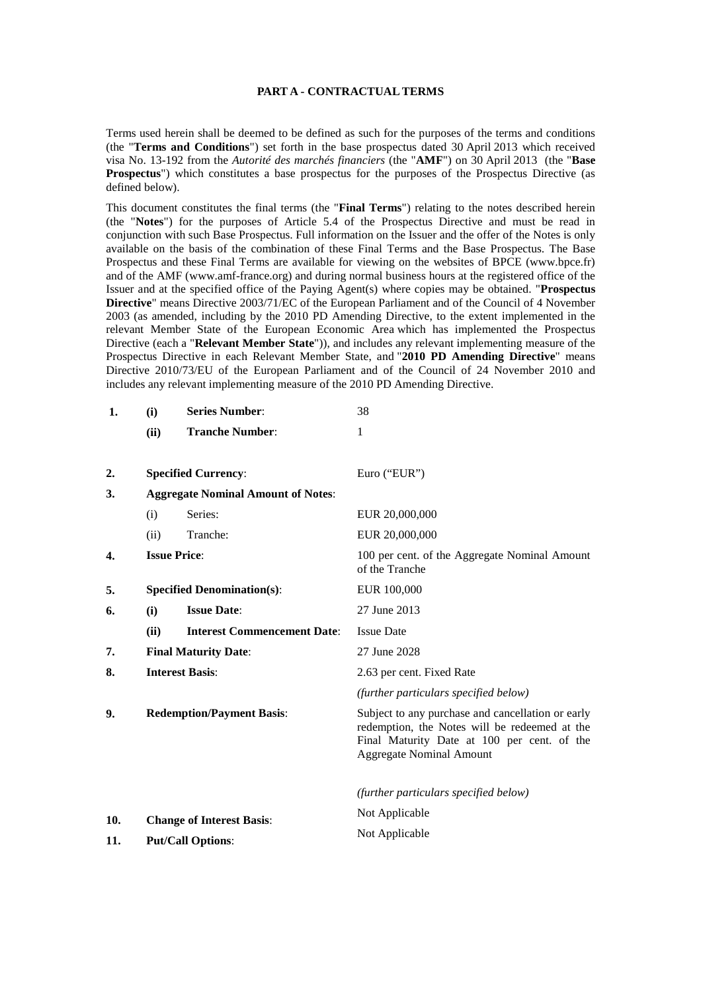#### **PART A - CONTRACTUAL TERMS**

Terms used herein shall be deemed to be defined as such for the purposes of the terms and conditions (the "**Terms and Conditions**") set forth in the base prospectus dated 30 April 2013 which received visa No. 13-192 from the *Autorité des marchés financiers* (the "**AMF**") on 30 April 2013 (the "**Base Prospectus**") which constitutes a base prospectus for the purposes of the Prospectus Directive (as defined below).

This document constitutes the final terms (the "**Final Terms**") relating to the notes described herein (the "**Notes**") for the purposes of Article 5.4 of the Prospectus Directive and must be read in conjunction with such Base Prospectus. Full information on the Issuer and the offer of the Notes is only available on the basis of the combination of these Final Terms and the Base Prospectus. The Base Prospectus and these Final Terms are available for viewing on the websites of BPCE (www.bpce.fr) and of the AMF (www.amf-france.org) and during normal business hours at the registered office of the Issuer and at the specified office of the Paying Agent(s) where copies may be obtained. "**Prospectus Directive**" means Directive 2003/71/EC of the European Parliament and of the Council of 4 November 2003 (as amended, including by the 2010 PD Amending Directive, to the extent implemented in the relevant Member State of the European Economic Area which has implemented the Prospectus Directive (each a "**Relevant Member State**")), and includes any relevant implementing measure of the Prospectus Directive in each Relevant Member State, and "**2010 PD Amending Directive**" means Directive 2010/73/EU of the European Parliament and of the Council of 24 November 2010 and includes any relevant implementing measure of the 2010 PD Amending Directive.

| 1.  | (i)                                       | <b>Series Number:</b>              | 38                                                                                                                                                                                   |
|-----|-------------------------------------------|------------------------------------|--------------------------------------------------------------------------------------------------------------------------------------------------------------------------------------|
|     | (ii)                                      | <b>Tranche Number:</b>             | 1                                                                                                                                                                                    |
|     |                                           |                                    |                                                                                                                                                                                      |
| 2.  |                                           | <b>Specified Currency:</b>         | Euro ("EUR")                                                                                                                                                                         |
| 3.  | <b>Aggregate Nominal Amount of Notes:</b> |                                    |                                                                                                                                                                                      |
|     | (i)                                       | Series:                            | EUR 20,000,000                                                                                                                                                                       |
|     | (ii)                                      | Tranche:                           | EUR 20,000,000                                                                                                                                                                       |
| 4.  | <b>Issue Price:</b>                       |                                    | 100 per cent. of the Aggregate Nominal Amount<br>of the Tranche                                                                                                                      |
| 5.  |                                           | <b>Specified Denomination(s):</b>  | EUR 100,000                                                                                                                                                                          |
| 6.  | (i)                                       | <b>Issue Date:</b>                 | 27 June 2013                                                                                                                                                                         |
|     | (ii)                                      | <b>Interest Commencement Date:</b> | <b>Issue Date</b>                                                                                                                                                                    |
| 7.  |                                           | <b>Final Maturity Date:</b>        | 27 June 2028                                                                                                                                                                         |
| 8.  | <b>Interest Basis:</b>                    |                                    | 2.63 per cent. Fixed Rate                                                                                                                                                            |
|     |                                           |                                    | (further particulars specified below)                                                                                                                                                |
| 9.  | <b>Redemption/Payment Basis:</b>          |                                    | Subject to any purchase and cancellation or early<br>redemption, the Notes will be redeemed at the<br>Final Maturity Date at 100 per cent. of the<br><b>Aggregate Nominal Amount</b> |
|     |                                           |                                    | (further particulars specified below)                                                                                                                                                |
| 10. |                                           | <b>Change of Interest Basis:</b>   | Not Applicable                                                                                                                                                                       |
| 11. | <b>Put/Call Options:</b>                  |                                    | Not Applicable                                                                                                                                                                       |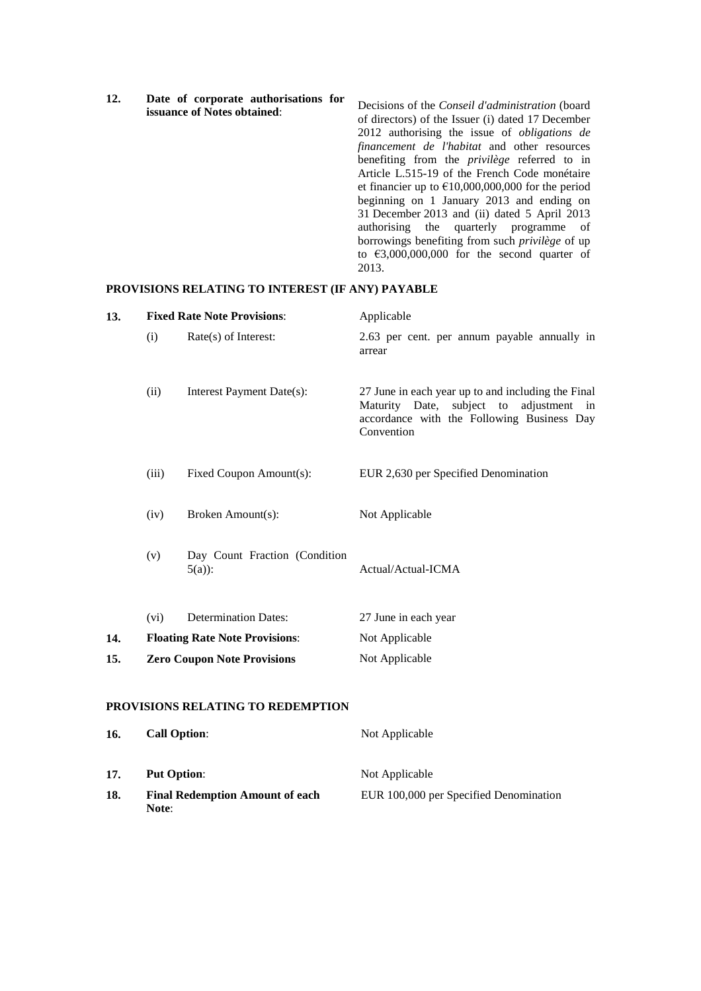| issuance of Notes obtained: | Decisions of the <i>Conseil d'administration</i> (board<br>of directors) of the Issuer (i) dated 17 December<br>2012 authorising the issue of <i>obligations</i> de<br><i>financement de l'habitat</i> and other resources<br>benefiting from the <i>privilege</i> referred to in<br>Article L.515-19 of the French Code monétaire<br>et financier up to $\epsilon$ 10,000,000,000 for the period<br>beginning on 1 January 2013 and ending on<br>31 December 2013 and (ii) dated 5 April 2013<br>authorising the quarterly programme of<br>borrowings benefiting from such <i>privilege</i> of up<br>to $\text{\textsterling}3,000,000,000$ for the second quarter of<br>2013. |
|-----------------------------|---------------------------------------------------------------------------------------------------------------------------------------------------------------------------------------------------------------------------------------------------------------------------------------------------------------------------------------------------------------------------------------------------------------------------------------------------------------------------------------------------------------------------------------------------------------------------------------------------------------------------------------------------------------------------------|
|-----------------------------|---------------------------------------------------------------------------------------------------------------------------------------------------------------------------------------------------------------------------------------------------------------------------------------------------------------------------------------------------------------------------------------------------------------------------------------------------------------------------------------------------------------------------------------------------------------------------------------------------------------------------------------------------------------------------------|

# **PROVISIONS RELATING TO INTEREST (IF ANY) PAYABLE**

**17. Put Option:** Not Applicable

**18. Final Redemption Amount of each**

**Note**:

| 13. | <b>Fixed Rate Note Provisions:</b> |                                           | Applicable                                                                                                                                                |  |
|-----|------------------------------------|-------------------------------------------|-----------------------------------------------------------------------------------------------------------------------------------------------------------|--|
|     | (i)                                | Rate(s) of Interest:                      | 2.63 per cent. per annum payable annually in<br>arrear                                                                                                    |  |
|     | (ii)                               | Interest Payment Date(s):                 | 27 June in each year up to and including the Final<br>Maturity Date, subject to adjustment in<br>accordance with the Following Business Day<br>Convention |  |
|     | (iii)                              | Fixed Coupon Amount(s):                   | EUR 2,630 per Specified Denomination                                                                                                                      |  |
|     | (iv)                               | Broken Amount(s):                         | Not Applicable                                                                                                                                            |  |
|     | (v)                                | Day Count Fraction (Condition<br>$5(a)$ : | Actual/Actual-ICMA                                                                                                                                        |  |
|     | (vi)                               | <b>Determination Dates:</b>               | 27 June in each year                                                                                                                                      |  |
| 14. |                                    | <b>Floating Rate Note Provisions:</b>     | Not Applicable                                                                                                                                            |  |
| 15. | <b>Zero Coupon Note Provisions</b> |                                           | Not Applicable                                                                                                                                            |  |
|     |                                    | PROVISIONS RELATING TO REDEMPTION         |                                                                                                                                                           |  |
| 16. | <b>Call Option:</b>                |                                           | Not Applicable                                                                                                                                            |  |
|     |                                    |                                           |                                                                                                                                                           |  |

EUR 100,000 per Specified Denomination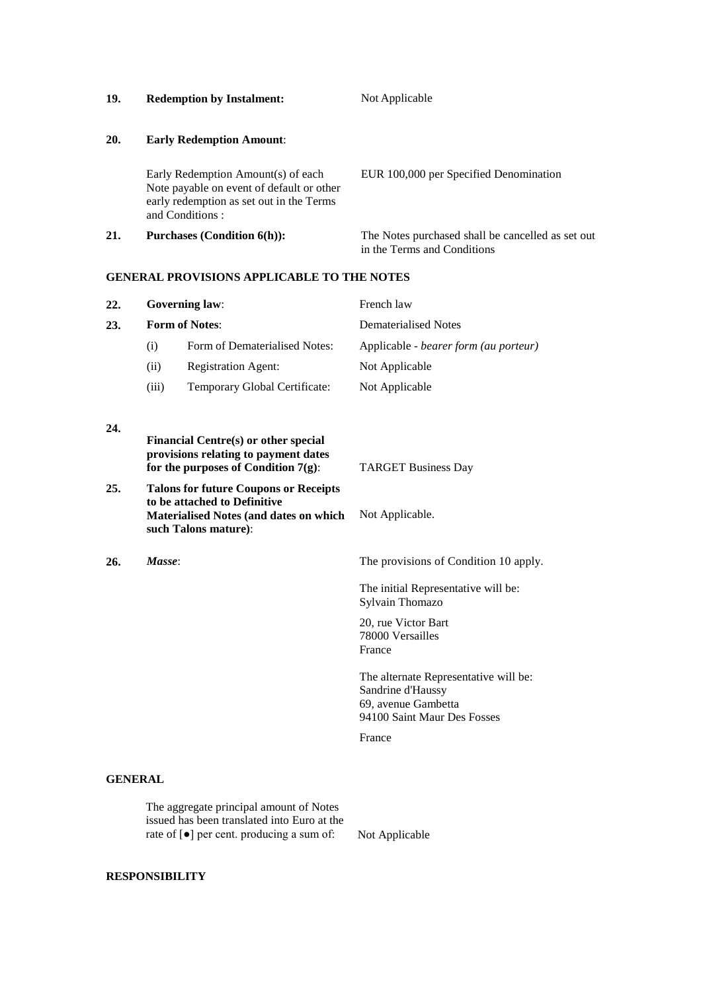| 19.        | <b>Redemption by Instalment:</b>                                                                                                               | Not Applicable                                                                   |
|------------|------------------------------------------------------------------------------------------------------------------------------------------------|----------------------------------------------------------------------------------|
| <b>20.</b> | <b>Early Redemption Amount:</b>                                                                                                                |                                                                                  |
|            | Early Redemption Amount(s) of each<br>Note payable on event of default or other<br>early redemption as set out in the Terms<br>and Conditions: | EUR 100,000 per Specified Denomination                                           |
| 21.        | <b>Purchases (Condition 6(h)):</b>                                                                                                             | The Notes purchased shall be cancelled as set out<br>in the Terms and Conditions |

### **GENERAL PROVISIONS APPLICABLE TO THE NOTES**

| 22. |                       | <b>Governing law:</b>                                                                                                                                 | French law                                                                                                       |  |
|-----|-----------------------|-------------------------------------------------------------------------------------------------------------------------------------------------------|------------------------------------------------------------------------------------------------------------------|--|
| 23. | <b>Form of Notes:</b> |                                                                                                                                                       | <b>Dematerialised Notes</b>                                                                                      |  |
|     | (i)                   | Form of Dematerialised Notes:                                                                                                                         | Applicable - bearer form (au porteur)                                                                            |  |
|     | (ii)                  | <b>Registration Agent:</b>                                                                                                                            | Not Applicable                                                                                                   |  |
|     | (iii)                 | Temporary Global Certificate:                                                                                                                         | Not Applicable                                                                                                   |  |
| 24. |                       | Financial Centre(s) or other special<br>provisions relating to payment dates                                                                          |                                                                                                                  |  |
|     |                       | for the purposes of Condition $7(g)$ :                                                                                                                | <b>TARGET Business Day</b>                                                                                       |  |
| 25. |                       | <b>Talons for future Coupons or Receipts</b><br>to be attached to Definitive<br><b>Materialised Notes (and dates on which</b><br>such Talons mature): | Not Applicable.                                                                                                  |  |
| 26. | Masse:                |                                                                                                                                                       | The provisions of Condition 10 apply.                                                                            |  |
|     |                       |                                                                                                                                                       | The initial Representative will be:<br>Sylvain Thomazo                                                           |  |
|     |                       |                                                                                                                                                       | 20, rue Victor Bart<br>78000 Versailles<br>France                                                                |  |
|     |                       |                                                                                                                                                       | The alternate Representative will be:<br>Sandrine d'Haussy<br>69, avenue Gambetta<br>94100 Saint Maur Des Fosses |  |
|     |                       |                                                                                                                                                       | France                                                                                                           |  |
|     | <b>GENERAL</b>        |                                                                                                                                                       |                                                                                                                  |  |

### **GENERAL**

The aggregate principal amount of Notes issued has been translated into Euro at the rate of [●] per cent. producing a sum of: Not Applicable

## **RESPONSIBILITY**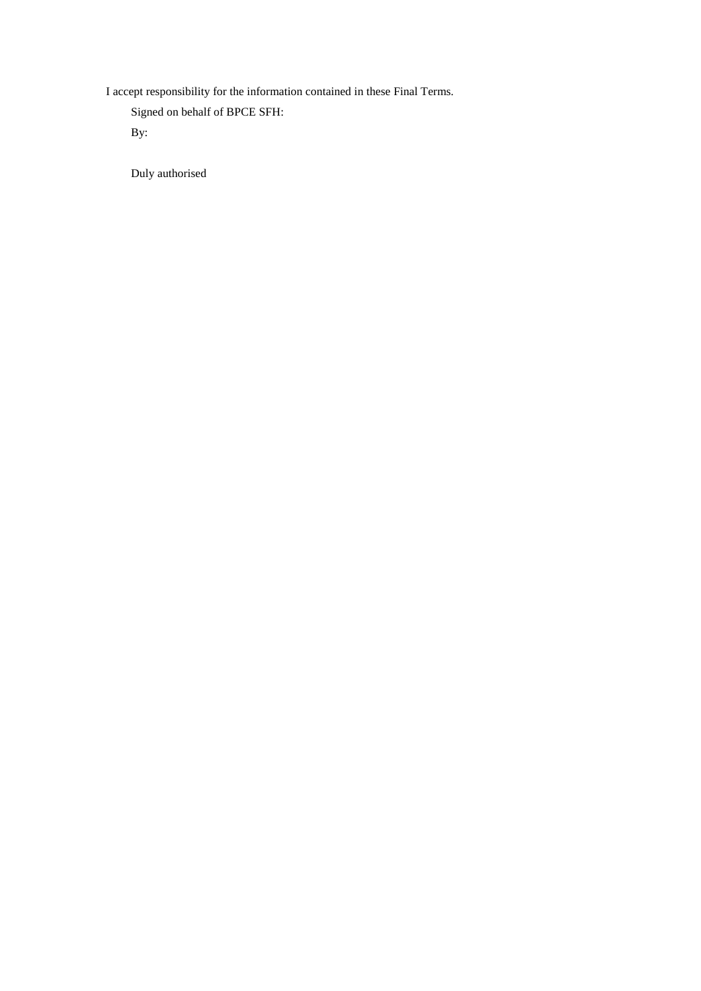I accept responsibility for the information contained in these Final Terms.

Signed on behalf of BPCE SFH:

By:

Duly authorised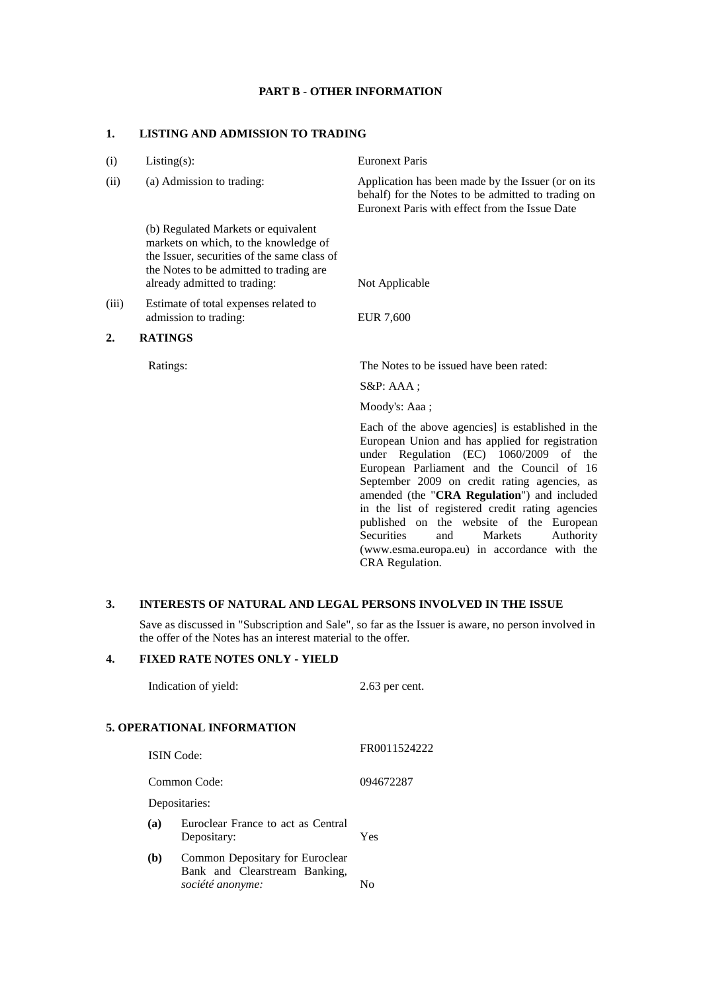### **PART B - OTHER INFORMATION**

### **1. LISTING AND ADMISSION TO TRADING**

| (i)   | $Listing(s)$ :                                                                                                                                                                                         | <b>Euronext Paris</b>                                                                                                                                                                       |
|-------|--------------------------------------------------------------------------------------------------------------------------------------------------------------------------------------------------------|---------------------------------------------------------------------------------------------------------------------------------------------------------------------------------------------|
| (ii)  | (a) Admission to trading:                                                                                                                                                                              | Application has been made by the Issuer (or on its<br>behalf) for the Notes to be admitted to trading on<br>Euronext Paris with effect from the Issue Date                                  |
|       | (b) Regulated Markets or equivalent<br>markets on which, to the knowledge of<br>the Issuer, securities of the same class of<br>the Notes to be admitted to trading are<br>already admitted to trading: | Not Applicable                                                                                                                                                                              |
| (iii) | Estimate of total expenses related to<br>admission to trading:                                                                                                                                         | <b>EUR 7,600</b>                                                                                                                                                                            |
| 2.    | <b>RATINGS</b>                                                                                                                                                                                         |                                                                                                                                                                                             |
|       | Ratings:                                                                                                                                                                                               | The Notes to be issued have been rated:                                                                                                                                                     |
|       |                                                                                                                                                                                                        | $S\&P: AAA;$                                                                                                                                                                                |
|       |                                                                                                                                                                                                        | Moody's: Aaa;                                                                                                                                                                               |
|       |                                                                                                                                                                                                        | Each of the above agencies] is established in the<br>European Union and has applied for registration<br>under Regulation (EC) 1060/2009 of the<br>European Parliament and the Council of 16 |

September 2009 on credit rating agencies, as amended (the "**CRA Regulation**") and included in the list of registered credit rating agencies published on the website of the European<br>Securities and Markets Authority Securities and Markets Authority (www.esma.europa.eu) in accordance with the CRA Regulation.

### **3. INTERESTS OF NATURAL AND LEGAL PERSONS INVOLVED IN THE ISSUE**

Save as discussed in "Subscription and Sale", so far as the Issuer is aware, no person involved in the offer of the Notes has an interest material to the offer*.*

### **4. FIXED RATE NOTES ONLY - YIELD**

Indication of yield: 2.63 per cent. **5. OPERATIONAL INFORMATION** ISIN Code: FR0011524222 Common Code: 094672287 Depositaries: **(a)** Euroclear France to act as Central Depositary: Yes **(b)** Common Depositary for Euroclear Bank and Clearstream Banking, *société anonyme:* No